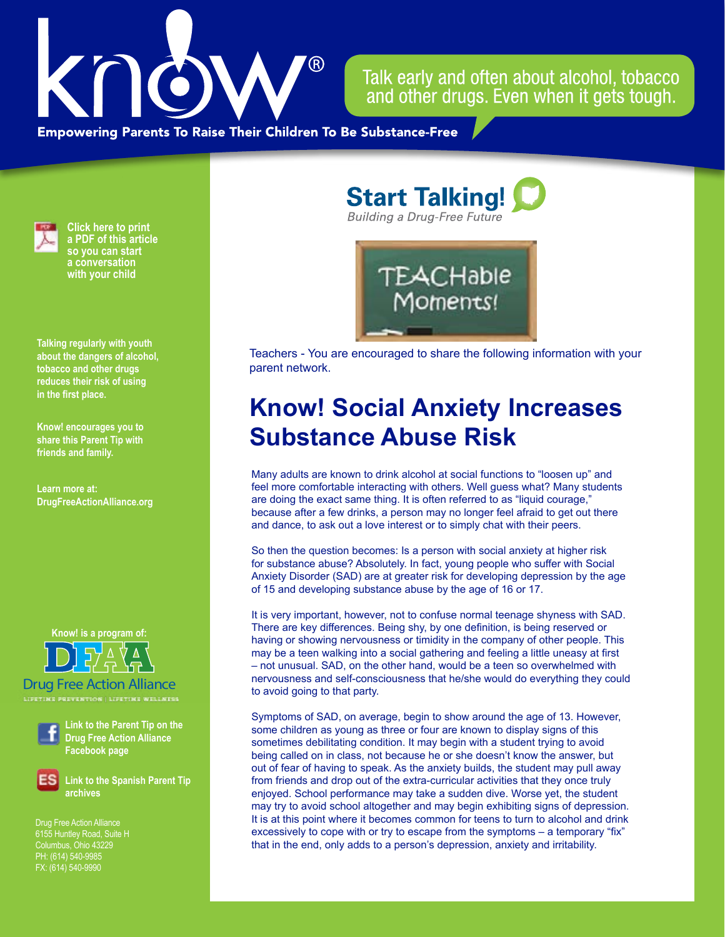

Talk early and often about alcohol, tobacco and other drugs. Even when it gets tough.

**Empowering Parents To Raise Their Children To Be Substance-Free** 



**Click here to print a PDF of this article so you can start a conversation with your child**

**Talking regularly with youth about the dangers of alcohol, tobacco and other drugs reduces their risk of using in the first place.**

**Know! encourages you to share this Parent Tip with friends and family.**

**Learn more at: DrugFreeActionAlliance.org**

**Know! is a program of:**

Drug Free Action Alliance

**LIFETIME PREVENTION | LIFETIME WELLNESS**



**Link to the Parent Tip on the Drug Free Action Alliance Facebook page**

**Link to the Spanish Parent Tip archives**

Drug Free Action Alliance 6155 Huntley Road, Suite H Columbus, Ohio 43229 PH: (614) 540-9985 FX: (614) 540-9990

**Start Talking! Building a Drug-Free Future** 



Teachers - You are encouraged to share the following information with your parent network.

## **Know! Social Anxiety Increases Substance Abuse Risk**

Many adults are known to drink alcohol at social functions to "loosen up" and feel more comfortable interacting with others. Well guess what? Many students are doing the exact same thing. It is often referred to as "liquid courage," because after a few drinks, a person may no longer feel afraid to get out there and dance, to ask out a love interest or to simply chat with their peers.

So then the question becomes: Is a person with social anxiety at higher risk for substance abuse? Absolutely. In fact, young people who suffer with Social Anxiety Disorder (SAD) are at greater risk for developing depression by the age of 15 and developing substance abuse by the age of 16 or 17.

It is very important, however, not to confuse normal teenage shyness with SAD. There are key differences. Being shy, by one definition, is being reserved or having or showing nervousness or timidity in the company of other people. This may be a teen walking into a social gathering and feeling a little uneasy at first – not unusual. SAD, on the other hand, would be a teen so overwhelmed with nervousness and self-consciousness that he/she would do everything they could to avoid going to that party.

Symptoms of SAD, on average, begin to show around the age of 13. However, some children as young as three or four are known to display signs of this sometimes debilitating condition. It may begin with a student trying to avoid being called on in class, not because he or she doesn't know the answer, but out of fear of having to speak. As the anxiety builds, the student may pull away from friends and drop out of the extra-curricular activities that they once truly enjoyed. School performance may take a sudden dive. Worse yet, the student may try to avoid school altogether and may begin exhibiting signs of depression. It is at this point where it becomes common for teens to turn to alcohol and drink excessively to cope with or try to escape from the symptoms – a temporary "fix" that in the end, only adds to a person's depression, anxiety and irritability.